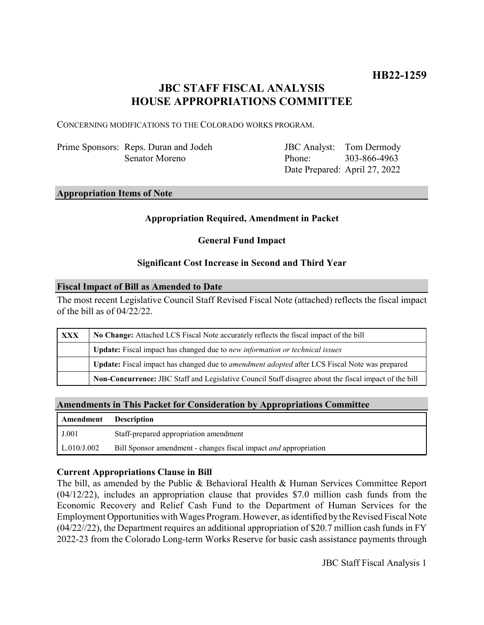# **JBC STAFF FISCAL ANALYSIS HOUSE APPROPRIATIONS COMMITTEE**

CONCERNING MODIFICATIONS TO THE COLORADO WORKS PROGRAM.

Prime Sponsors: Reps. Duran and Jodeh Senator Moreno

JBC Analyst: Phone: Date Prepared: April 27, 2022 Tom Dermody 303-866-4963

#### **Appropriation Items of Note**

### **Appropriation Required, Amendment in Packet**

### **General Fund Impact**

#### **Significant Cost Increase in Second and Third Year**

#### **Fiscal Impact of Bill as Amended to Date**

The most recent Legislative Council Staff Revised Fiscal Note (attached) reflects the fiscal impact of the bill as of 04/22/22.

| XXX | No Change: Attached LCS Fiscal Note accurately reflects the fiscal impact of the bill                 |
|-----|-------------------------------------------------------------------------------------------------------|
|     | Update: Fiscal impact has changed due to new information or technical issues                          |
|     | Update: Fiscal impact has changed due to <i>amendment adopted</i> after LCS Fiscal Note was prepared  |
|     | Non-Concurrence: JBC Staff and Legislative Council Staff disagree about the fiscal impact of the bill |

# **Amendments in This Packet for Consideration by Appropriations Committee**

| <b>Amendment</b> Description |                                                                         |
|------------------------------|-------------------------------------------------------------------------|
| J.001                        | Staff-prepared appropriation amendment                                  |
| $\mid$ L.010/J.002           | Bill Sponsor amendment - changes fiscal impact <i>and</i> appropriation |

### **Current Appropriations Clause in Bill**

The bill, as amended by the Public & Behavioral Health & Human Services Committee Report (04/12/22), includes an appropriation clause that provides \$7.0 million cash funds from the Economic Recovery and Relief Cash Fund to the Department of Human Services for the Employment Opportunities with Wages Program. However, as identified by the Revised Fiscal Note (04/22//22), the Department requires an additional appropriation of \$20.7 million cash funds in FY 2022-23 from the Colorado Long-term Works Reserve for basic cash assistance payments through